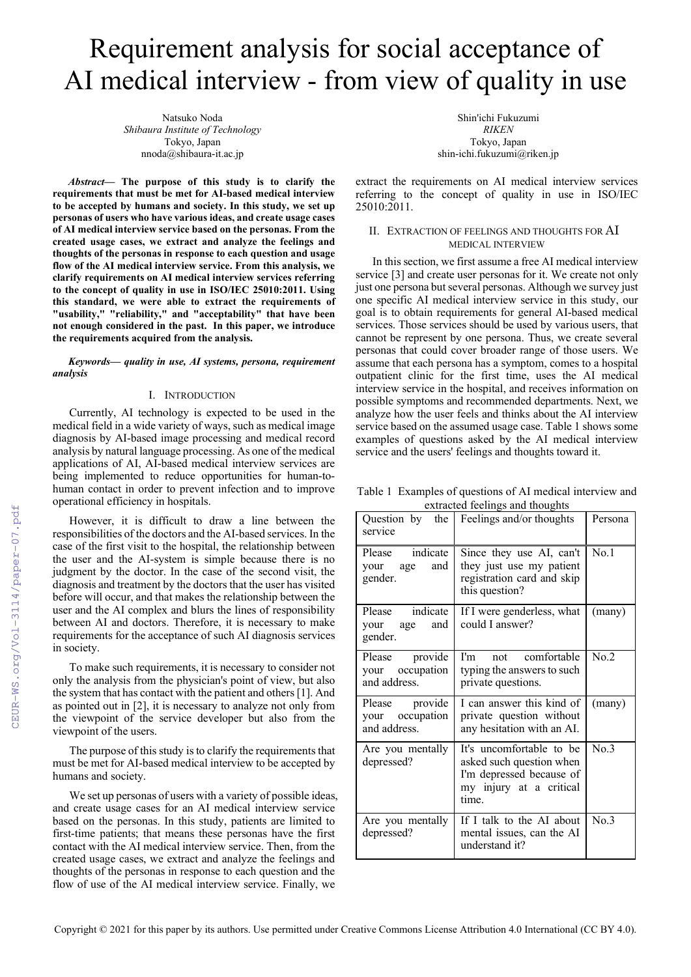# Requirement analysis for social acceptance of AI medical interview - from view of quality in use

Natsuko Noda *Shibaura Institute of Technology* Tokyo, Japan nnoda@shibaura-it.ac.jp

*Abstract***— The purpose of this study is to clarify the requirements that must be met for AI-based medical interview to be accepted by humans and society. In this study, we set up personas of users who have various ideas, and create usage cases of AI medical interview service based on the personas. From the created usage cases, we extract and analyze the feelings and thoughts of the personas in response to each question and usage flow of the AI medical interview service. From this analysis, we clarify requirements on AI medical interview services referring to the concept of quality in use in ISO/IEC 25010:2011. Using this standard, we were able to extract the requirements of "usability," "reliability," and "acceptability" that have been not enough considered in the past. In this paper, we introduce the requirements acquired from the analysis.** 

#### *Keywords— quality in use, AI systems, persona, requirement analysis*

# I. INTRODUCTION

Currently, AI technology is expected to be used in the medical field in a wide variety of ways, such as medical image diagnosis by AI-based image processing and medical record analysis by natural language processing. As one of the medical applications of AI, AI-based medical interview services are being implemented to reduce opportunities for human-tohuman contact in order to prevent infection and to improve operational efficiency in hospitals.

However, it is difficult to draw a line between the responsibilities of the doctors and the AI-based services. In the case of the first visit to the hospital, the relationship between the user and the AI-system is simple because there is no judgment by the doctor. In the case of the second visit, the diagnosis and treatment by the doctors that the user has visited before will occur, and that makes the relationship between the user and the AI complex and blurs the lines of responsibility between AI and doctors. Therefore, it is necessary to make requirements for the acceptance of such AI diagnosis services in society.

To make such requirements, it is necessary to consider not only the analysis from the physician's point of view, but also the system that has contact with the patient and others [1]. And as pointed out in [2], it is necessary to analyze not only from the viewpoint of the service developer but also from the viewpoint of the users.

The purpose of this study is to clarify the requirements that must be met for AI-based medical interview to be accepted by humans and society.

We set up personas of users with a variety of possible ideas, and create usage cases for an AI medical interview service based on the personas. In this study, patients are limited to first-time patients; that means these personas have the first contact with the AI medical interview service. Then, from the created usage cases, we extract and analyze the feelings and thoughts of the personas in response to each question and the flow of use of the AI medical interview service. Finally, we

Shin'ichi Fukuzumi *RIKEN* Tokyo, Japan shin-ichi.fukuzumi@riken.jp

extract the requirements on AI medical interview services referring to the concept of quality in use in ISO/IEC 25010:2011.

### II. EXTRACTION OF FEELINGS AND THOUGHTS FOR AI MEDICAL INTERVIEW

In this section, we first assume a free AI medical interview service [3] and create user personas for it. We create not only just one persona but several personas. Although we survey just one specific AI medical interview service in this study, our goal is to obtain requirements for general AI-based medical services. Those services should be used by various users, that cannot be represent by one persona. Thus, we create several personas that could cover broader range of those users. We assume that each persona has a symptom, comes to a hospital outpatient clinic for the first time, uses the AI medical interview service in the hospital, and receives information on possible symptoms and recommended departments. Next, we analyze how the user feels and thinks about the AI interview service based on the assumed usage case. Table 1 shows some examples of questions asked by the AI medical interview service and the users' feelings and thoughts toward it.

Table 1 Examples of questions of AI medical interview and extracted feelings and thoughts

|                                                   | extracted recurred and thoughts                                                                                      |         |
|---------------------------------------------------|----------------------------------------------------------------------------------------------------------------------|---------|
| service                                           | Question by the Feelings and/or thoughts                                                                             | Persona |
| Please indicate<br>and<br>your age<br>gender.     | Since they use AI, can't<br>they just use my patient<br>registration card and skip<br>this question?                 | No.1    |
| Please indicate<br>and<br>your age<br>gender.     | If I were genderless, what<br>could I answer?                                                                        | (many)  |
| Please provide<br>your occupation<br>and address. | not comfortable<br>I'm<br>typing the answers to such<br>private questions.                                           | No.2    |
| Please provide<br>your occupation<br>and address. | I can answer this kind of<br>private question without<br>any hesitation with an AI.                                  | (many)  |
| Are you mentally<br>depressed?                    | It's uncomfortable to be<br>asked such question when<br>I'm depressed because of<br>my injury at a critical<br>time. | No.3    |
| Are you mentally<br>depressed?                    | If I talk to the AI about<br>mental issues, can the AI<br>understand it?                                             | No.3    |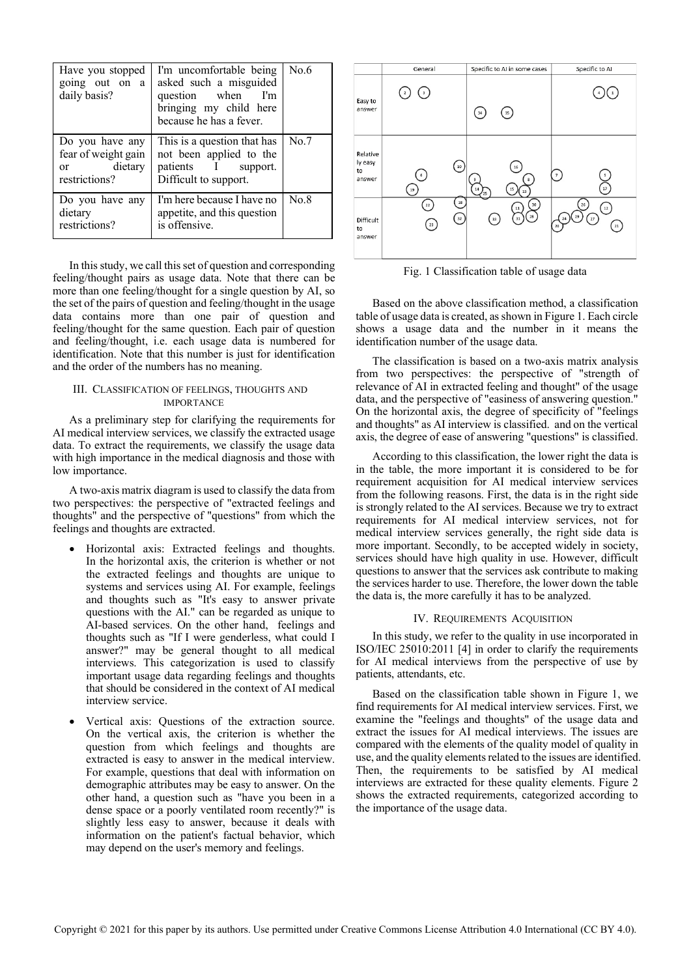| Have you stopped<br>going out on a<br>daily basis?                    | I'm uncomfortable being<br>asked such a misguided<br>question when I'm<br>bringing my child here<br>because he has a fever. | No.6 |
|-----------------------------------------------------------------------|-----------------------------------------------------------------------------------------------------------------------------|------|
| Do you have any<br>fear of weight gain<br>or dietary<br>restrictions? | This is a question that has<br>not been applied to the<br>patients I support.<br>Difficult to support.                      | No.7 |
| Do you have any<br>dietary<br>restrictions?                           | I'm here because I have no<br>appetite, and this question<br>is offensive.                                                  | No.8 |

In this study, we call this set of question and corresponding feeling/thought pairs as usage data. Note that there can be more than one feeling/thought for a single question by AI, so the set of the pairs of question and feeling/thought in the usage data contains more than one pair of question and feeling/thought for the same question. Each pair of question and feeling/thought, i.e. each usage data is numbered for identification. Note that this number is just for identification and the order of the numbers has no meaning.

#### III. CLASSIFICATION OF FEELINGS, THOUGHTS AND IMPORTANCE

As a preliminary step for clarifying the requirements for AI medical interview services, we classify the extracted usage data. To extract the requirements, we classify the usage data with high importance in the medical diagnosis and those with low importance.

A two-axis matrix diagram is used to classify the data from two perspectives: the perspective of "extracted feelings and thoughts" and the perspective of "questions" from which the feelings and thoughts are extracted.

- Horizontal axis: Extracted feelings and thoughts. In the horizontal axis, the criterion is whether or not the extracted feelings and thoughts are unique to systems and services using AI. For example, feelings and thoughts such as "It's easy to answer private questions with the AI." can be regarded as unique to AI-based services. On the other hand, feelings and thoughts such as "If I were genderless, what could I answer?" may be general thought to all medical interviews. This categorization is used to classify important usage data regarding feelings and thoughts that should be considered in the context of AI medical interview service.
- Vertical axis: Questions of the extraction source. On the vertical axis, the criterion is whether the question from which feelings and thoughts are extracted is easy to answer in the medical interview. For example, questions that deal with information on demographic attributes may be easy to answer. On the other hand, a question such as "have you been in a dense space or a poorly ventilated room recently?" is slightly less easy to answer, because it deals with information on the patient's factual behavior, which may depend on the user's memory and feelings.



Fig. 1 Classification table of usage data

Based on the above classification method, a classification table of usage data is created, as shown in Figure 1. Each circle shows a usage data and the number in it means the identification number of the usage data.

The classification is based on a two-axis matrix analysis from two perspectives: the perspective of "strength of relevance of AI in extracted feeling and thought" of the usage data, and the perspective of "easiness of answering question." On the horizontal axis, the degree of specificity of "feelings and thoughts" as AI interview is classified. and on the vertical axis, the degree of ease of answering "questions" is classified.

According to this classification, the lower right the data is in the table, the more important it is considered to be for requirement acquisition for AI medical interview services from the following reasons. First, the data is in the right side is strongly related to the AI services. Because we try to extract requirements for AI medical interview services, not for medical interview services generally, the right side data is more important. Secondly, to be accepted widely in society, services should have high quality in use. However, difficult questions to answer that the services ask contribute to making the services harder to use. Therefore, the lower down the table the data is, the more carefully it has to be analyzed.

# IV. REQUIREMENTS ACQUISITION

In this study, we refer to the quality in use incorporated in ISO/IEC 25010:2011 [4] in order to clarify the requirements for AI medical interviews from the perspective of use by patients, attendants, etc.

Based on the classification table shown in Figure 1, we find requirements for AI medical interview services. First, we examine the "feelings and thoughts" of the usage data and extract the issues for AI medical interviews. The issues are compared with the elements of the quality model of quality in use, and the quality elements related to the issues are identified. Then, the requirements to be satisfied by AI medical interviews are extracted for these quality elements. Figure 2 shows the extracted requirements, categorized according to the importance of the usage data.